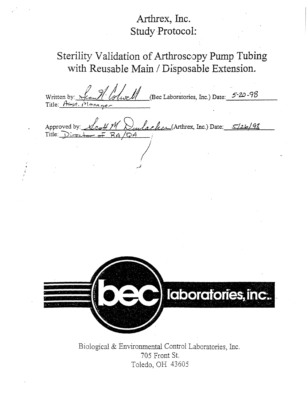# **Arthrex, Inc. Study Protocol:**

# **Sterility Validation of Arthrosccpy Pump Tubing with Reusable Main / Disposable Extension.**

**(Bec Laboratories, fnc.) Date: Written by:** Title:  $A \rightarrow f$  $rac{h_{A}c_{A}h_{C}}{h_{A}h_{C}}$  (Arthrex, Inc.) Date: <u>5/26/98</u> Approved by:<br>Title:  $\overrightarrow{V}_{\text{tree}}$ -J l'aboratories, inc..

Biological & Environmental Control Laboratories, Inc. 705 Front St. Toledo, OH 43605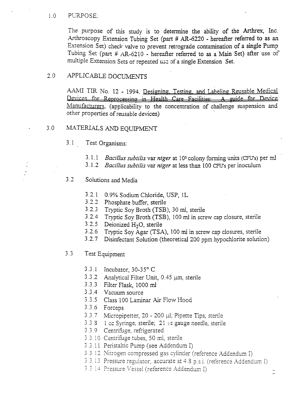#### 1.0 PURPOSE.

The purpose of this study is to determine the ability of the Arthrex, Inc. Arthroscopy Extension Tubing Set (part *H* AR-6220 - hereafter referred to as an Extension Set) check valve to prevent retrograde contamination of a single Pump Tubing Set (part *<sup>H</sup>* AR-62 <sup>10</sup> - hereafter referred to as a Main Set) after use of multiple Extension Sets or repeated use of a single Extension Set.

### 2.0 APPLICABLE DOCUMENTS

AAMI TIR No. 12 - 1994. Designing. Testing. and Labeling Reusable Medical Devices for Reprocessing in Health Care Facilities: A guide for Device Manufacturers. (applicability to the concentration of challenge suspension and other properties of reusable devices)

### 3.0 MATERIALS AND EQUIPMENT

- 3. <sup>1</sup> Test Organisms:
	- 3. 1. <sup>1</sup> *Bacillus subtilis* var *niger* at I <sup>33</sup> colony forming units (CEU's) per ml
	- 3. 1.2 *Bacillus subtilis* var *niger* at less than 100 CFU's per inoculum
- 3.2 Solutions and Media
	- 3.2.1 0.9% Sodium Chloride, USP, IL
	- 3.2.2 Phosphate buffer, sterile
	- 3.2.3 Tryptic Soy Broth (TSB), 30 ml, sterile
	- 3.2.4 Tryptic Soy Broth (TSB), 100 ml in screw cap closure, sterile
	- 3.2.5 Deionized H<sub>2</sub>O, sterile
	- 3.2.6 Tiyptic Soy Agar (TSA), 100 ml in screw cap closures, sterile
	- 3.2.7 Disinfectant Solution (theoretical 200 ppm hypochiorite solution)
- 3.3 Test Equipment
	- 3.3. <sup>1</sup> Incubator, *30~35o* C
	- $3.3.2$  Analytical Filter Unit, 0.45  $\mu$ m, sterile
	- 3.3.3 Filter Flask, 1000 ml
	- 3.3.4 Vacuum source
	- 3.3.5 Class 100 Laminar Air Flow Hood
	- 3.3.6 Forceps
	- 3.3.7 Micropipetter, 20 200 µl; Pipette Tips, sterile
	- 3.3.8 1 cc Syringe, sterile; 21 1/2 gauge needle, sterile
	- 3.3.9 Centriftige, refrigerated
	- <sup>3</sup> *3.10* Centrifoge tubes, 50 ml, sterile
	- 3.3.11 Peristaltic Pump (see Addendum I)
	- 3.3.12 Nitrogen compressed gas cylinder (reference Addendum I)
	- 3.3.13 Pressure regulator, accurate at 4.8 p.s.i. (reference Addendum I)
	- 3.3.14 Pressure Vessel (reference Addendum I)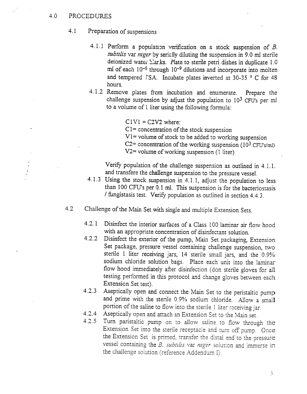### 4.0 PROCEDURES

- 4.1 Preparation of suspensions -
	- 4.1.1 Perform a population verification on a stock suspension of *B*. *subtilis* var *niger* by serially diluting the suspension in 9.0 ml sterile deionized water blarks. Plate to sterile petri dishes in duplicate 1.0 ml of each  $10^{-6}$  through  $10^{-9}$  dilutions and incorporate into molten and tempered TSA. Incubate plates inverted at 30-35 ° C for 48 hours.
	- 4.1.2 Remove plates from incubation and enumerate. Prepare the challenge suspension by adjust the population to  $10^{3}$  CFU's per ml to a volume of <sup>1</sup> liter using the following formula:

 $C1V1 = C2V2$  where:  $C1=$  concentration of the stock suspension V1= volume of stock to be added to working suspension C2= concentration of the working suspension  $(10^3 \text{ CFU's/ml})$  $V2$ = volume of working suspension (1 liter)

Verify population of the challenge suspension as outlined in 4.1.1. and transfere the challenge suspension to the pressure vessel.

- 4.1.3 Using the stock suspension in 4.1.1, adjust the population to less than 100 CFU's per 0.1 ml. This suspension is for the bacteriostasis / fungistasis test. Verify population as outlined in section 4.4.3.
- 4.2 Challenge of the Main Set with single and multiple Extension Sets.
	- 4.2.1 Disinfect the interior surfaces of a Class 100 laminar air flow hood with an appropriate concentration of disinfectant solution.
	- 4.2.2 Disinfect the exterior of the pump, Main Set packaging, Extension Set package, pressure vessel containing challenge suspension, two sterile 1 liter receiving jars, 14 sterile small jars, and the 0.9% sodium chloride solution bags. Place each unit into the laminar flow hood immediately after disinfection (don sterile gloves for all testing performed in this protocol and change gloves between each Extension Set test).
	- 4.2.3 Aseptically open and connect the Main Set to the peristaltic pump and prime with the sterile 0.9% sodium chloride. Allow a small portion of the saline to flow into the sterile I liter receiving jar.
	- 4.2.4 Aseptically open and attach an Extension Set to the Main set
	- *4.2.5* Turn paristaltic pump on to allow saline to flow through the Extension Set into the sterile receptacle and turn off pump. Once the Extension Set is primed, transfer the distal end to the pressure vessel containing the *B. subtilis* var *niger* solution and immerse in the challenge solution (reference Addendum I).

 $\tilde{\beta}$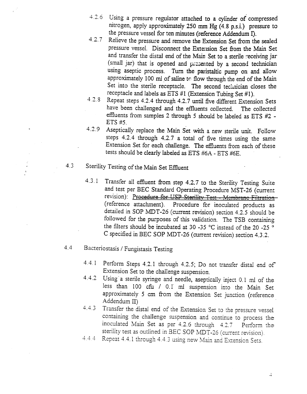- 4.2.6 Using a pressure regulator attached to a cylinder of compressed nitrogen, apply approximately 250 mm Hg (4.8 p.s.i.) pressure to the pressure vessel for ten minutes (reference Addendum I).
- 4.2.7 Relieve the pressure and remove the Extension Set from the sealed pressure vessel. Disconnect the Exte:ision Set from the Main Set and transfer the distal end of the Main Set to a sterile receiving jar (small jar) that is opened and presented by a second technician using aseptic process. Turn the paristaltic pump on and allow approximately 100 ml of saline to flow through the end of the Main Set into the sterile receptacle. The second technician closes the receptacle and labels as ETS #1 (Extension Tubing Set #1).
- 4.2.8 Repeat steps 4.2.4 through 4.2.7 until five different Extension Sets have been challenged and the effluents collected. The collected effluents from samples 2 through 5 should be labeled as ETS #2 -ETS *ff5.*
- 4.2.9 Aseptically replace the Main Set with a new sterile unit. Follow steps 4.2.4 through 4.2.7 a total of five times using the same Extension Set for each challenge. The effluents from each of these tests should be clearly labeled as ETS #6A - ETS #6E.
- 4.3 Sterility Testing of the Main Set Effluent
	- 4.3. <sup>1</sup> Transfer all effluent from step 4.2.7 to the Sterility Testing Suite and test per BEG Standard Operating Procedure MST-26 (current revision): Procedure for USP Sterility Test - Membrane Filtration-(reference attachment). Procedure for inoculated products as detailed in SOP MDT-26 (current revision) section 4.2.5 should be followed for the purposes of this validation. The TSB containing nowed for the purposes of this validation. The TSB containing<br>the filters should be incubated at 30 -35 °C instead of the 20 -25 °C  $\sim$  meas should be includated at 50 -55 °C instead of the 20 -25 °C.
- 4.4 Bacteriostasis / Fungistasis Testing
	- 4.4.1 Perform Steps 4.2.1 through *4.2.5;* Do not transfer distal end of  $\epsilon$ -rion Steps 4.2.1 through 4.2.5, Do no Extension Set to the challenge suspension.<br>4.4.2 Using a sterile syringe and needle, aseptic
	- Using a sterile syringe and needle, aseptically inject 0.1 ml of the less than 100 cfu / 0.1 ml suspension into the Main Set approximately 5 cm from the Extension Set junction (reference Addendum II)  $\frac{4.3}{4.3}$  Transfer the distal end of the pressure vessels of the pressure vessels of the pressure vessels of the pressure vessels of the pressure vessels of the pressure vessels of the pressure vessels of the pressure
	- ansier the distal end of the Extension Set to the pressure vessel containing the challenge suspension and continue to process the inoculated Main Set as per  $4.2.6$  through  $4.2.7$  Perform the sterility test as outlined in BEC SOP MDT-26 (current revision).<br>4.4.4 Repeat 4.4.1 through 4.4.3 using new Main and Extension Sets.
	-

 $\downarrow$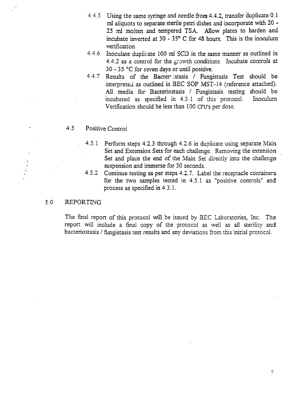- 4.4.5 Using the same syringe and needle from 4.4.2, transfer duplicate 0.1 ml aliquots to separate sterile petri dishes and incorporate with 20 - 25 ml molten and tempered TSA. Allow plates to harden and. incubate inverted at 30 - **350** C for 48 hours. This is the inoculum. verification
- 4.4.6 Inoculate duplicate 100 ml SCD in the same manner as outlined in 4.4.2 as a control for the growth conditions. Incubate controls at  $30 - 35$  °C for seven days or until positive.
- 4.4.7 Results of the Bacter stasis / Fungistasis Test should be interpreted as outlined in BEG SOP MST-14 (reference attached). All media for Bacteriostasis / Fungistasis testing should be incubated as specified in 4.3.1 of this protocol. Inoculum Verification should be less than 100 CFU's per dose.

### 4.5 Positive Control

- 4.5.1 Perform steps 4.2.3 through 4.2.6 in duplicate using separate Main Set and Extension Sets for each challenge. Removing the extension Set and place the end of the Main Set directly into the challenge suspension and immerse for 30 seconds.
- 4.5.2 Continue testing as per steps 4.2.7. Label the receptacle containers for the two samples tested in 4.5.1 as 'positive controls' and process as specified in 4.3.1.

### 5.0 REPORTING

 $\begin{array}{c} \varepsilon \\ \varepsilon \\ \varepsilon \\ \varepsilon \\ \varepsilon \end{array}$ 

The final report of this protocol will be issued by BEC Laboratories, Inc. The report will include a final copy of the protocol as well as all sterility and bacteriostasis / fungistasis test results and any deviations from this initial protocol.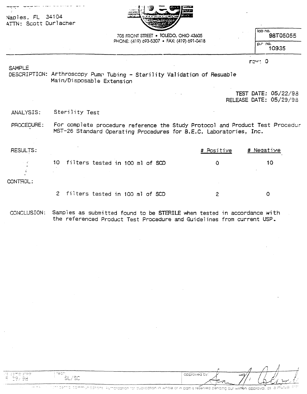| Naples, FL 34104<br>ATTN: Scott Durlacher |                                                                                                                                                     |                                                                                      |                                                      |
|-------------------------------------------|-----------------------------------------------------------------------------------------------------------------------------------------------------|--------------------------------------------------------------------------------------|------------------------------------------------------|
|                                           |                                                                                                                                                     | 705 FRONT STREET . TOLEDO, OHIO 43605<br>PHONE: (419) 693-5307 · FAX: (419) 691-0418 | lab no.<br>98T05055<br>p.c no.<br>10935              |
| <b>SAMPLE</b>                             | DESCRIPTION: Arthroscopy Pump Tubing - Sterility Validation of Resuable<br>Main/Disposable Extension                                                |                                                                                      | $r \rightarrow r$ : 0                                |
|                                           |                                                                                                                                                     |                                                                                      | <b>TEST DATE: 05/22/98</b><br>RELEASE DATE: 05/29/98 |
| ANALYSIS:                                 | Sterility Test                                                                                                                                      |                                                                                      |                                                      |
| PROCEDURE:                                | For complete procedure reference the Study Protocol and Product Test Procedur<br>MST-26 Standard Operating Procedures for B.E.C. Laboratories, Inc. |                                                                                      |                                                      |
| <b>RESULTS:</b>                           |                                                                                                                                                     | # Positive                                                                           | # Negative                                           |
|                                           | 10<br>filters tested in 100 ml of SCD                                                                                                               | $\Omega$                                                                             | 10                                                   |
| CONTROL:                                  |                                                                                                                                                     |                                                                                      |                                                      |
|                                           | $\overline{2}$<br>filters tested in 100 ml of SCD                                                                                                   | 2                                                                                    | 0                                                    |

CONCLUSION: Samples as submitted found to be STERILE when tested in accordance with the referenced Product Test Procedure and Guidelines from current USP..

 $\sim 10^{-11}$ 

 $\mathcal{A}$ 

| i teap:<br>viel compteredi.<br><b>Contract Contract Contract</b><br>$-$<br>المواضيات<br>$-$<br>$  +$ $/$<br>میا ب | $\sim$<br>سا است | approved by:<br>$\sim$ |  |  |
|-------------------------------------------------------------------------------------------------------------------|------------------|------------------------|--|--|

 $\mathcal{L}^{\mathcal{L}}$  and  $\mathcal{L}^{\mathcal{L}}$  are  $\mathcal{L}^{\mathcal{L}}$  . The set of the set of  $\mathcal{L}^{\mathcal{L}}$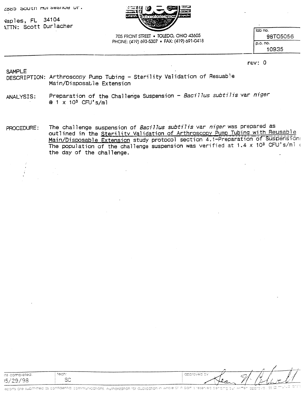2885 SOUTH MUISESHOW UT.

\Iaples, FL 34104 ~TTh: Scott Durlacher



**705 FRONT STREET** • **TOLEDO. OHIO 43605 PHONE: (419) 693~53O7** • **FAX: (419) 691-0418** **Iob** no. 98T0505**6** p.o. no. 10935

#### rev: 0

#### SAMPLE

DESCRIPTION: Arthroscooy Pump Tubing — Sterility Validation of Resuab1e Main/Disposable Extension

- ANALYSIS: Preparation of the Challenge Suspension - Bacillus subtilis var niger  $@ 1 \times 10^{3}$  CFU's/ml
- PROCEDURE: The challenge suspension of Bacillus subtilis var niger was prepared as outlined in the Sterility Validation of Arthroscopy Pump Tubing with Reusable Main/Disposable Extension study protocol section 4.1-Preparation of Suspension: The population of the challenge suspension was verified at 1.4 x 10<sup>3</sup> CFU's/ml or the day of the challenge.

|                |               | COMMERCIAL COMMERCIAL CONTRACTOR |                  |
|----------------|---------------|----------------------------------|------------------|
| ite completed: | tech:         | - GODIOVEG UY                    |                  |
|                | $\sim$ $\sim$ | ∽                                | ،،               |
| $\overline{ }$ |               |                                  |                  |
|                | ت             | . .                              | <b>Late</b><br>. |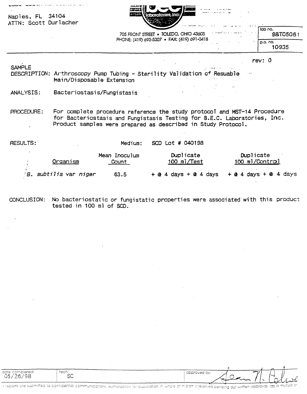| Naples, FL 34104<br>ATTN: Scott Durlacher | ややす<br>بالرواض والمعوية فتوحد المتاحا                                                                                  |                       |  |
|-------------------------------------------|------------------------------------------------------------------------------------------------------------------------|-----------------------|--|
|                                           | 705 FRONT STREET . TOLEDO, OHIO 43605                                                                                  | i lab no.<br>98T05061 |  |
|                                           | PHONE: (419) 693-5307 · FAX: (419) 691-0418                                                                            | $ $ p.o. no.<br>10935 |  |
|                                           |                                                                                                                        | rev: 0                |  |
| <b>SAMPLE</b>                             | DESCRIPTION: Arthroscopy Pump Tubing - Sterility Validation of Resuable<br>Main/Disposable Extension<br>$\sim 10^{-1}$ |                       |  |

 $\mathcal{L}^{\text{max}}$  and  $\mathcal{L}^{\text{max}}$ 

**ANALYSIS: Bacteriostasi s/Fungi stasis**

**PROCEDURE: For complete procedure reference the study protocoT and MST—14 Procedure for Bacteriostasis and Fungistasis Testing for B.E.C. Laboratories, Inc. Product sampl es were prepared as described in Study Protocol.**

| RESULTS: |                       | Medium:                       | SCD Lot # 040198         |                                               |
|----------|-----------------------|-------------------------------|--------------------------|-----------------------------------------------|
|          | Organism              | Mean Inoculum<br><u>Count</u> | Duplicate<br>100 ml/Test | Duplicate<br>100 ml/Control                   |
|          | B. subtilis var niger | 63.5                          |                          | $+$ @ 4 days + @ 4 days + @ 4 days + @ 4 days |

**No bacteriostatic or fungistatic properties were associated with this product OONGLUSION: tested in 100 ml of SOD.**

Hi reports are submitted as contidential communications. Authorization for duplication in whole of in part is reserved pending our written approval, as a mutual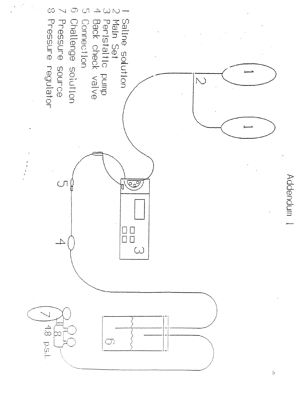

 $\ddot{\circ}$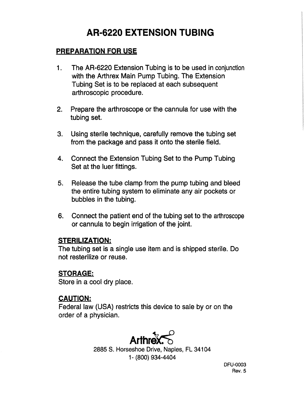# **AR-6220 EXTENSION TUBING**

## **PREPARATiON FOR USE**

- **1. The AR-6220 Extension Tubing is** to be used in conjunction with **the Arthrex Main Pump Tubing. The Extension** Tubing **Set** is **to be replaced at each subsequent arthroscopic procedure.**
- **2. Prepare the arthroscope or the cannula for use with the tubing set.**
- **3. Using sterile technique, carefully remove the tubing set from the package and pass it onto the sterile field.**
- **4. Connect the Extension Tubing Set to the Pump Tubing Set at the luer fittings.**
- **5. Release the tube clamp from the pump tubing and bleed the entire tubing system to eliminate any air pockets or bubbles** in **the tubing.**
- **6. Connect the patient end of the tubing set to the arthroscope or cannula to begin irrigation of the joint.**

### **STERILIZATION:**

**The tubing set is a single use item and is shipped sterile. Do not resterilize or reuse.**

## **STORAGE**

**Store** in a cool dry place.

### **CAUTION**

**Federal law (USA) restricts this device to sale by or on the order of a physician.**



2885 S. Horseshoe Drive, Naples, FL 34104 1- (800) 934-4404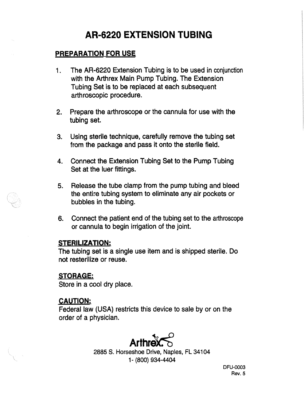### **PREPARATION FOR USE**

- **1. The AR-6220 Extension Tubing is to** be used in conjunction **with the Arthrex** Main Pump Tubing. The Extension Tubing Set is to be replaced at each subsequent **arthroscopic procedure.**
- 2. **Prepare the arthroscope or the cannula for use with the tubing set.**
- **3. Using sterile technique, carefully remove the tubing set from the package and pass it onto the sterile field.**
- **4. Connect the Extension Tubing Set to the Pump Tubing Set at the luer fittings.**
- **5. Release the tube clamp from the pump tubing and bleed the entire tubing system to eliminate any air pockets or bubbles in the tubing.**
- **6. Connect the patient end of the tubing set to the arthroscope or cannula to begin irrigation of the joint.**

### **STERILiZATiON**

**The tubing set is a single use item and** is shipped sterile. Do **not resterilize or reuse.**

## **STORAGE**

**Store in a cool dry place.**

### **CAUTION**

**Federal law (USA) restricts this device to sale by or on the order of a physician.**



**2885 S.** Horseshoe Drive, Naples, FL 34104 1- (800) 934-4404